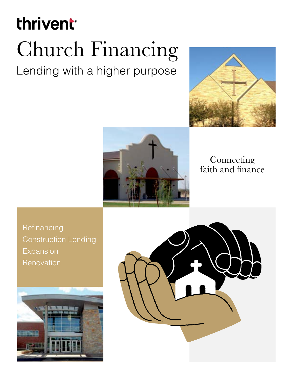# thrivent

# Church Financing

Lending with a higher purpose





## Connecting faith and finance

**Refinancing** Construction Lending Expansion **Renovation** 



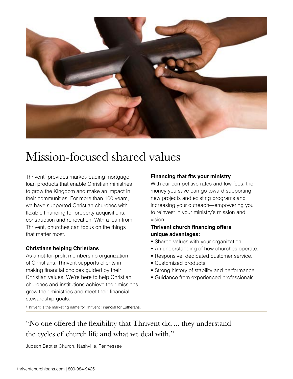

## Mission-focused shared values

Thrivent<sup>2</sup> provides market-leading mortgage loan products that enable Christian ministries to grow the Kingdom and make an impact in their communities. For more than 100 years, we have supported Christian churches with flexible financing for property acquisitions, construction and renovation. With a loan from Thrivent, churches can focus on the things that matter most.

#### **Christians helping Christians**

As a not-for-profit membership organization of Christians, Thrivent supports clients in making financial choices guided by their Christian values. We're here to help Christian churches and institutions achieve their missions, grow their ministries and meet their financial stewardship goals.

#### **Financing that fits your ministry**

With our competitive rates and low fees, the money you save can go toward supporting new projects and existing programs and increasing your outreach—empowering you to reinvest in your ministry's mission and vision.

#### **Thrivent church financing offers unique advantages:**

- Shared values with your organization.
- An understanding of how churches operate.
- Responsive, dedicated customer service.
- Customized products.
- Strong history of stability and performance.
- Guidance from experienced professionals.

2Thrivent is the marketing name for Thrivent Financial for Lutherans.

"No one offered the flexibility that Thrivent did ... they understand the cycles of church life and what we deal with."

Judson Baptist Church, Nashville, Tennessee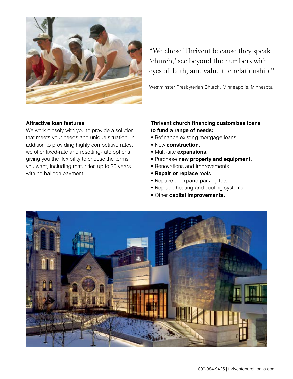

"We chose Thrivent because they speak 'church,' see beyond the numbers with eyes of faith, and value the relationship."

Westminster Presbyterian Church, Minneapolis, Minnesota

#### **Attractive loan features**

We work closely with you to provide a solution that meets your needs and unique situation. In addition to providing highly competitive rates, we offer fixed-rate and resetting-rate options giving you the flexibility to choose the terms you want, including maturities up to 30 years with no balloon payment.

#### **Thrivent church financing customizes loans to fund a range of needs:**

- Refinance existing mortgage loans.
- New **construction.**
- Multi-site **expansions.**
- Purchase **new property and equipment.**
- Renovations and improvements.
- **Repair or replace** roofs.
- Repave or expand parking lots.
- Replace heating and cooling systems.
- Other **capital improvements.**